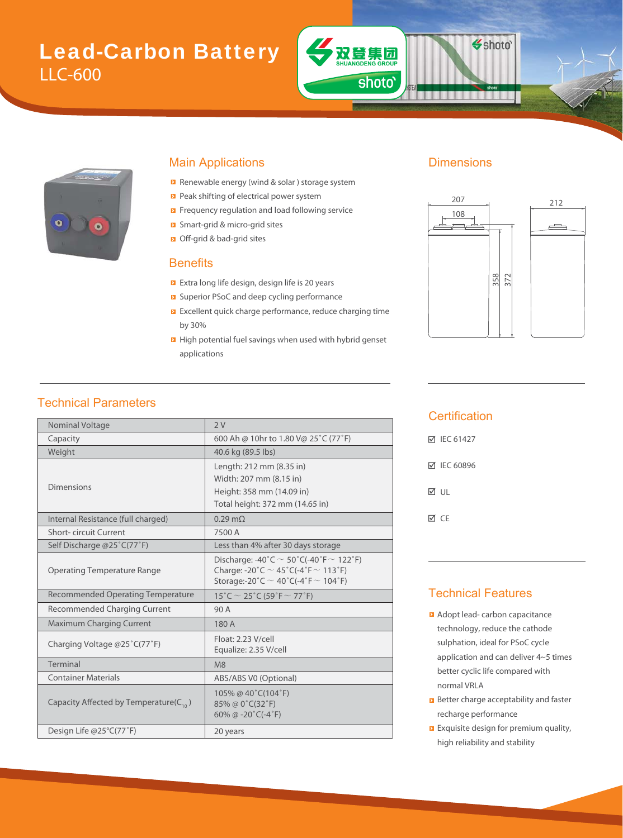# Lead-Carbon Battery LLC-600



#### Main Applications **Dimensions**

- Renewable energy (wind & solar ) storage system Renewa
- Peak shifting of electrical power system
- Frequency regulation and load following service Frequen
- Smart-grid & micro-grid sites Smart-g
- **D** Off-grid & bad-grid sites

#### **Benefits**

- Extra long life design, design life is 20 years Extra lon
- **E** Superior PSoC and deep cycling performance
- **EXCELLENT QUICK charge performance, reduce charging time** by 30%
- **High potential fuel savings when used with hybrid genset** applications

#### Technical Parameters

| Nominal Voltage                              | 2V                                                                                                                                               |  |  |  |
|----------------------------------------------|--------------------------------------------------------------------------------------------------------------------------------------------------|--|--|--|
| Capacity                                     | 600 Ah @ 10hr to 1.80 V@ 25°C (77°F)                                                                                                             |  |  |  |
| Weight                                       | 40.6 kg (89.5 lbs)                                                                                                                               |  |  |  |
|                                              | Length: 212 mm (8.35 in)                                                                                                                         |  |  |  |
|                                              | Width: 207 mm (8.15 in)                                                                                                                          |  |  |  |
| Dimensions                                   | Height: 358 mm (14.09 in)                                                                                                                        |  |  |  |
|                                              | Total height: 372 mm (14.65 in)                                                                                                                  |  |  |  |
| Internal Resistance (full charged)           | $0.29 \text{ m}$                                                                                                                                 |  |  |  |
| <b>Short-circuit Current</b>                 | 7500 A                                                                                                                                           |  |  |  |
| Self Discharge @25°C(77°F)                   | Less than 4% after 30 days storage                                                                                                               |  |  |  |
| <b>Operating Temperature Range</b>           | Discharge: -40°C $\sim$ 50°C(-40°F $\sim$ 122°F)<br>Charge: -20°C $\sim$ 45°C(-4°F $\sim$ 113°F)<br>Storage:-20°C $\sim$ 40°C(-4°F $\sim$ 104°F) |  |  |  |
| <b>Recommended Operating Temperature</b>     | 15°C $\sim$ 25°C (59°F $\sim$ 77°F)                                                                                                              |  |  |  |
| Recommended Charging Current                 | 90 A                                                                                                                                             |  |  |  |
| <b>Maximum Charging Current</b>              | 180 A                                                                                                                                            |  |  |  |
| Charging Voltage @25°C(77°F)                 | Float: 2.23 V/cell<br>Equalize: 2.35 V/cell                                                                                                      |  |  |  |
| Terminal                                     | M8                                                                                                                                               |  |  |  |
| <b>Container Materials</b>                   | ABS/ABS V0 (Optional)                                                                                                                            |  |  |  |
| Capacity Affected by Temperature( $C_{10}$ ) | 105% @ 40°C(104°F)<br>85% @ 0°C(32°F)<br>60% @ -20 $°C$ (-4 $°F$ )                                                                               |  |  |  |
| Design Life @25°C(77°F)                      | 20 years                                                                                                                                         |  |  |  |

双登集团

shoto'

Shoto<sup>®</sup>



#### **Certification**

| <b>▽ IEC 61427</b> |
|--------------------|
| <b>☑</b> IEC 60896 |
| M ∪L               |
| ⊠ CF               |

#### Technical Features

- **Adopt lead- carbon capacitance** technology, reduce the cathode sulphation, ideal for PSoC cycle application and can deliver 4~5 times better cyclic life compared with normal VRLA
- **B** Better charge acceptability and faster recharge performance
- **EXquisite design for premium quality,** high reliability and stability